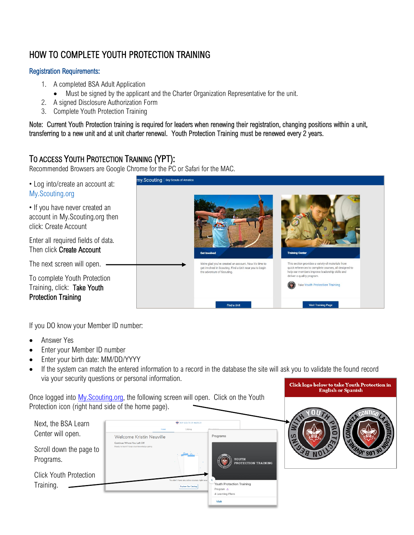# HOW TO COMPLETE YOUTH PROTECTION TRAINING

#### Registration Requirements:

- 1. A completed BSA Adult Application
	- Must be signed by the applicant and the Charter Organization Representative for the unit.
- 2. A signed Disclosure Authorization Form
- 3. Complete Youth Protection Training

Note: Current Youth Protection training is required for leaders when renewing their registration, changing positions within a unit, transferring to a new unit and at unit charter renewal. Youth Protection Training must be renewed every 2 years.

## TO ACCESS YOUTH PROTECTION TRAINING (YPT):

Recommended Browsers are Google Chrome for the PC or Safari for the MAC.



If you DO know your Member ID number:

- Answer Yes
- Enter your Member ID number
- Enter your birth date: MM/DD/YYYY
- If the system can match the entered information to a record in the database the site will ask you to validate the found record via your security questions or personal information. Click logo below to take Youth Protection in

**English or Spanish** 

Once logged into [My.Scouting.org,](https://my.scouting.org/dashboard-legacy) the following screen will open. Click on the Youth Protection icon (right hand side of the home page).